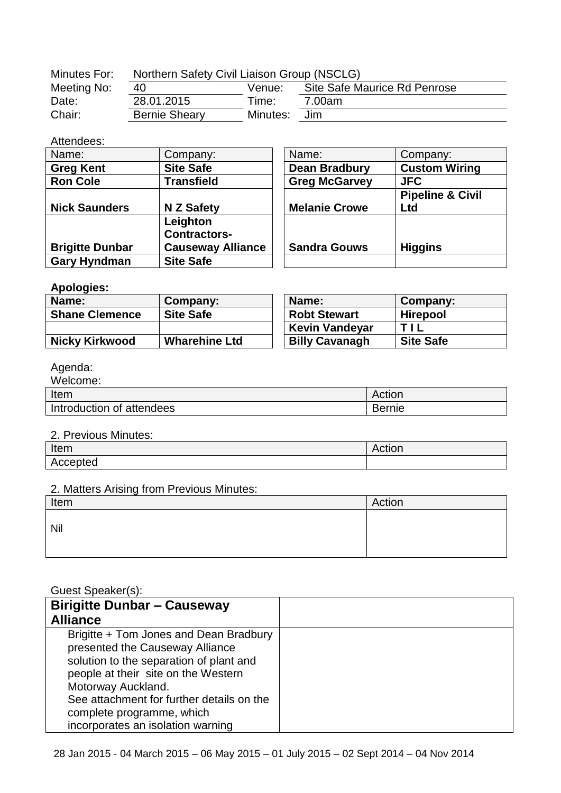| Minutes For: | Northern Safety Civil Liaison Group (NSCLG) |          |                              |
|--------------|---------------------------------------------|----------|------------------------------|
| Meeting No:  | 40                                          | Venue:   | Site Safe Maurice Rd Penrose |
| Date:        | 28.01.2015                                  | Time:    | 7.00am                       |
| Chair:       | <b>Bernie Sheary</b>                        | Minutes: | Jim                          |

### Attendees:

| Name:                  | Company:                 | Name:                | Company:                    |
|------------------------|--------------------------|----------------------|-----------------------------|
| <b>Greg Kent</b>       | <b>Site Safe</b>         | <b>Dean Bradbury</b> | <b>Custom Wiring</b>        |
| <b>Ron Cole</b>        | <b>Transfield</b>        | <b>Greg McGarvey</b> | <b>JFC</b>                  |
|                        |                          |                      | <b>Pipeline &amp; Civil</b> |
| <b>Nick Saunders</b>   | N Z Safety               | <b>Melanie Crowe</b> | Ltd                         |
|                        | Leighton                 |                      |                             |
|                        | <b>Contractors-</b>      |                      |                             |
| <b>Brigitte Dunbar</b> | <b>Causeway Alliance</b> | <b>Sandra Gouws</b>  | <b>Higgins</b>              |
| <b>Gary Hyndman</b>    | <b>Site Safe</b>         |                      |                             |

#### **Apologies:**

| -<br>Name:            | Company:             | Name:                 | Company:         |
|-----------------------|----------------------|-----------------------|------------------|
| <b>Shane Clemence</b> | <b>Site Safe</b>     | <b>Robt Stewart</b>   | <b>Hirepool</b>  |
|                       |                      | <b>Kevin Vandeyar</b> | TII              |
| <b>Nicky Kirkwood</b> | <b>Wharehine Ltd</b> | <b>Billy Cavanagh</b> | <b>Site Safe</b> |

# Agenda:

| Welcome:                  |        |
|---------------------------|--------|
| Item                      | Action |
| Introduction of attendees | Bernie |
|                           |        |

#### 2. Previous Minutes:

| Item     | ACUON |
|----------|-------|
| Accepted |       |

## 2. Matters Arising from Previous Minutes:

| Item | Action |
|------|--------|
| Nil  |        |
|      |        |

## Guest Speaker(s):

| <b>Birigitte Dunbar - Causeway</b>        |  |
|-------------------------------------------|--|
| <b>Alliance</b>                           |  |
| Brigitte + Tom Jones and Dean Bradbury    |  |
| presented the Causeway Alliance           |  |
| solution to the separation of plant and   |  |
| people at their site on the Western       |  |
| Motorway Auckland.                        |  |
| See attachment for further details on the |  |
| complete programme, which                 |  |
| incorporates an isolation warning         |  |